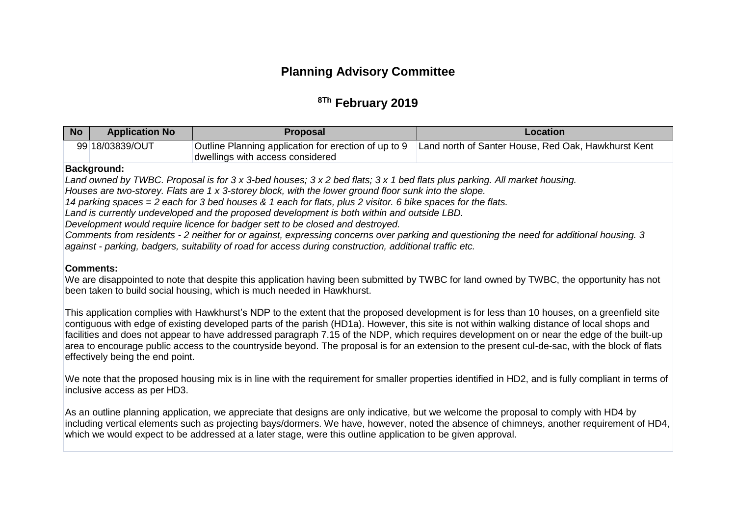# **Planning Advisory Committee**

## **8Th February 2019**

| No | <b>Application No.</b> | Proposal                                                                                 | Location                                            |
|----|------------------------|------------------------------------------------------------------------------------------|-----------------------------------------------------|
|    | 99 18/03839/OUT        | Outline Planning application for erection of up to 9<br>dwellings with access considered | Land north of Santer House, Red Oak, Hawkhurst Kent |

#### **Background:**

*Land owned by TWBC. Proposal is for 3 x 3-bed houses; 3 x 2 bed flats; 3 x 1 bed flats plus parking. All market housing.*

*Houses are two-storey. Flats are 1 x 3-storey block, with the lower ground floor sunk into the slope.*

*14 parking spaces = 2 each for 3 bed houses & 1 each for flats, plus 2 visitor. 6 bike spaces for the flats.*

*Land is currently undeveloped and the proposed development is both within and outside LBD.*

*Development would require licence for badger sett to be closed and destroyed.*

*Comments from residents - 2 neither for or against, expressing concerns over parking and questioning the need for additional housing. 3 against - parking, badgers, suitability of road for access during construction, additional traffic etc.*

#### **Comments:**

We are disappointed to note that despite this application having been submitted by TWBC for land owned by TWBC, the opportunity has not been taken to build social housing, which is much needed in Hawkhurst.

This application complies with Hawkhurst's NDP to the extent that the proposed development is for less than 10 houses, on a greenfield site contiguous with edge of existing developed parts of the parish (HD1a). However, this site is not within walking distance of local shops and facilities and does not appear to have addressed paragraph 7.15 of the NDP, which requires development on or near the edge of the built-up area to encourage public access to the countryside beyond. The proposal is for an extension to the present cul-de-sac, with the block of flats effectively being the end point.

We note that the proposed housing mix is in line with the requirement for smaller properties identified in HD2, and is fully compliant in terms of inclusive access as per HD3.

As an outline planning application, we appreciate that designs are only indicative, but we welcome the proposal to comply with HD4 by including vertical elements such as projecting bays/dormers. We have, however, noted the absence of chimneys, another requirement of HD4, which we would expect to be addressed at a later stage, were this outline application to be given approval.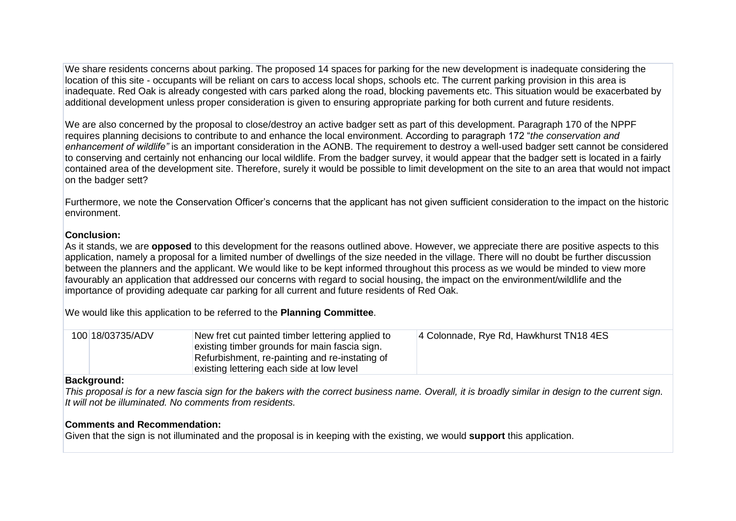We share residents concerns about parking. The proposed 14 spaces for parking for the new development is inadequate considering the location of this site - occupants will be reliant on cars to access local shops, schools etc. The current parking provision in this area is inadequate. Red Oak is already congested with cars parked along the road, blocking pavements etc. This situation would be exacerbated by additional development unless proper consideration is given to ensuring appropriate parking for both current and future residents.

We are also concerned by the proposal to close/destroy an active badger sett as part of this development. Paragraph 170 of the NPPF requires planning decisions to contribute to and enhance the local environment. According to paragraph 172 "*the conservation and enhancement of wildlife"* is an important consideration in the AONB. The requirement to destroy a well-used badger sett cannot be considered to conserving and certainly not enhancing our local wildlife. From the badger survey, it would appear that the badger sett is located in a fairly contained area of the development site. Therefore, surely it would be possible to limit development on the site to an area that would not impact on the badger sett?

Furthermore, we note the Conservation Officer's concerns that the applicant has not given sufficient consideration to the impact on the historic environment.

## **Conclusion:**

As it stands, we are **opposed** to this development for the reasons outlined above. However, we appreciate there are positive aspects to this application, namely a proposal for a limited number of dwellings of the size needed in the village. There will no doubt be further discussion between the planners and the applicant. We would like to be kept informed throughout this process as we would be minded to view more favourably an application that addressed our concerns with regard to social housing, the impact on the environment/wildlife and the importance of providing adequate car parking for all current and future residents of Red Oak.

We would like this application to be referred to the **Planning Committee**.

| 100 18/03735/ADV | New fret cut painted timber lettering applied to | 4 Colonnade, Rye Rd, Hawkhurst TN18 4ES |
|------------------|--------------------------------------------------|-----------------------------------------|
|                  | existing timber grounds for main fascia sign.    |                                         |
|                  | Refurbishment, re-painting and re-instating of   |                                         |
|                  | existing lettering each side at low level        |                                         |

#### **Background:**

*This proposal is for a new fascia sign for the bakers with the correct business name. Overall, it is broadly similar in design to the current sign. It will not be illuminated. No comments from residents.*

## **Comments and Recommendation:**

Given that the sign is not illuminated and the proposal is in keeping with the existing, we would **support** this application.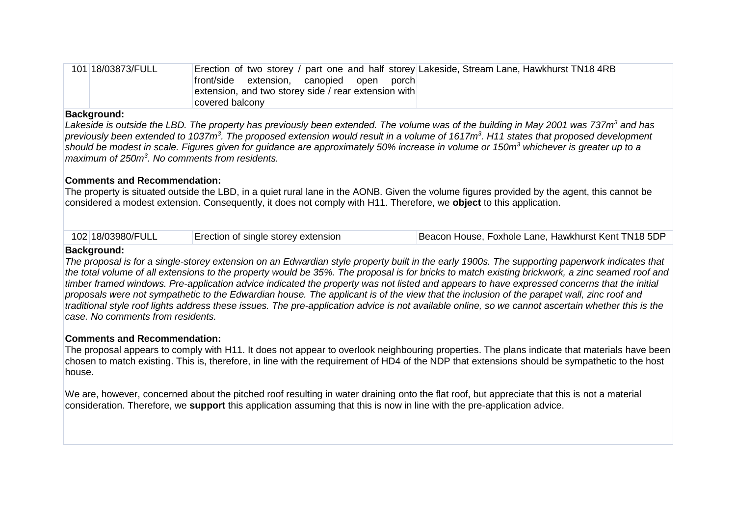| 101 18/03873/FULL | Erection of two storey / part one and half storey Lakeside, Stream Lane, Hawkhurst TN18 4RB |
|-------------------|---------------------------------------------------------------------------------------------|
|                   | front/side extension, canopied open porch                                                   |
|                   | extension, and two storey side / rear extension with                                        |
|                   | covered balconv                                                                             |

## **Background:**

*Lakeside is outside the LBD. The property has previously been extended. The volume was of the building in May 2001 was 737m<sup>3</sup> and has*  previously been extended to 1037m<sup>3</sup>. The proposed extension would result in a volume of 1617m<sup>3</sup>. H11 states that proposed development *should be modest in scale. Figures given for guidance are approximately 50% increase in volume or 150m<sup>3</sup> whichever is greater up to a maximum of 250m<sup>3</sup> . No comments from residents.*

## **Comments and Recommendation:**

The property is situated outside the LBD, in a quiet rural lane in the AONB. Given the volume figures provided by the agent, this cannot be considered a modest extension. Consequently, it does not comply with H11. Therefore, we **object** to this application.

| 102 18/03980/FULL<br>Erection of single storey extension |  | Beacon House, Foxhole Lane, Hawkhurst Kent TN18 5DP |
|----------------------------------------------------------|--|-----------------------------------------------------|
|----------------------------------------------------------|--|-----------------------------------------------------|

#### **Background:**

*The proposal is for a single-storey extension on an Edwardian style property built in the early 1900s. The supporting paperwork indicates that the total volume of all extensions to the property would be 35%. The proposal is for bricks to match existing brickwork, a zinc seamed roof and timber framed windows. Pre-application advice indicated the property was not listed and appears to have expressed concerns that the initial proposals were not sympathetic to the Edwardian house. The applicant is of the view that the inclusion of the parapet wall, zinc roof and traditional style roof lights address these issues. The pre-application advice is not available online, so we cannot ascertain whether this is the case. No comments from residents.*

## **Comments and Recommendation:**

The proposal appears to comply with H11. It does not appear to overlook neighbouring properties. The plans indicate that materials have been chosen to match existing. This is, therefore, in line with the requirement of HD4 of the NDP that extensions should be sympathetic to the host house.

We are, however, concerned about the pitched roof resulting in water draining onto the flat roof, but appreciate that this is not a material consideration. Therefore, we **support** this application assuming that this is now in line with the pre-application advice.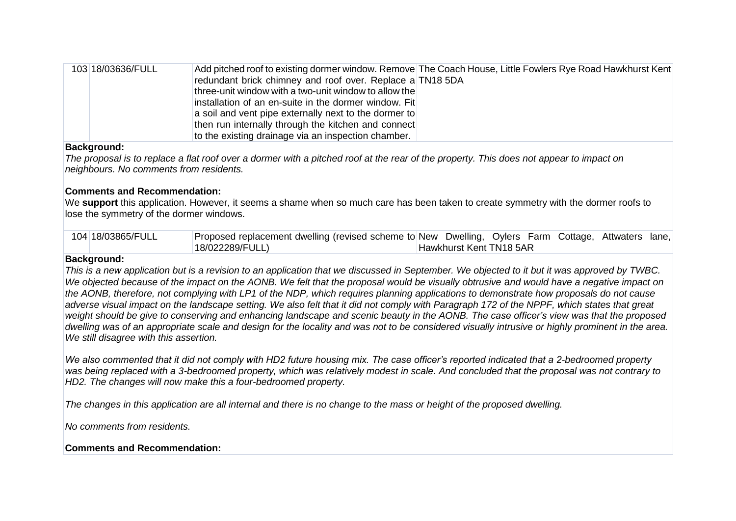| 103 18/03636/FULL | Add pitched roof to existing dormer window. Remove The Coach House, Little Fowlers Rye Road Hawkhurst Kent |
|-------------------|------------------------------------------------------------------------------------------------------------|
|                   | redundant brick chimney and roof over. Replace a TN18 5DA                                                  |
|                   | three-unit window with a two-unit window to allow the                                                      |
|                   | installation of an en-suite in the dormer window. Fit                                                      |
|                   | a soil and vent pipe externally next to the dormer to                                                      |
|                   | then run internally through the kitchen and connect                                                        |
|                   | to the existing drainage via an inspection chamber.                                                        |

#### **Background:**

*The proposal is to replace a flat roof over a dormer with a pitched roof at the rear of the property. This does not appear to impact on neighbours. No comments from residents.*

## **Comments and Recommendation:**

We **support** this application. However, it seems a shame when so much care has been taken to create symmetry with the dormer roofs to lose the symmetry of the dormer windows.

| 104 18/03865/FULL | Proposed replacement dwelling (revised scheme to New Dwelling, Oylers Farm Cottage, Attwaters lane, |                         |  |  |  |
|-------------------|-----------------------------------------------------------------------------------------------------|-------------------------|--|--|--|
|                   | 18/022289/FULL)                                                                                     | Hawkhurst Kent TN18 5AR |  |  |  |

#### **Background:**

*This is a new application but is a revision to an application that we discussed in September. We objected to it but it was approved by TWBC. We objected because of the impact on the AONB. We felt that the proposal would be visually obtrusive* a*nd would have a negative impact on the AONB, therefore, not complying with LP1 of the NDP, which requires planning applications to demonstrate how proposals do not cause adverse visual impact on the landscape setting. We also felt that it did not comply with Paragraph 172 of the NPPF, which states that great weight should be give to conserving and enhancing landscape and scenic beauty in the AONB. The case officer's view was that the proposed dwelling was of an appropriate scale and design for the locality and was not to be considered visually intrusive or highly prominent in the area. We still disagree with this assertion.*

*We also commented that it did not comply with HD2 future housing mix. The case officer's reported indicated that a 2-bedroomed property was being replaced with a 3-bedroomed property, which was relatively modest in scale. And concluded that the proposal was not contrary to HD2. The changes will now make this a four-bedroomed property.*

*The changes in this application are all internal and there is no change to the mass or height of the proposed dwelling.*

*No comments from residents.*

## **Comments and Recommendation:**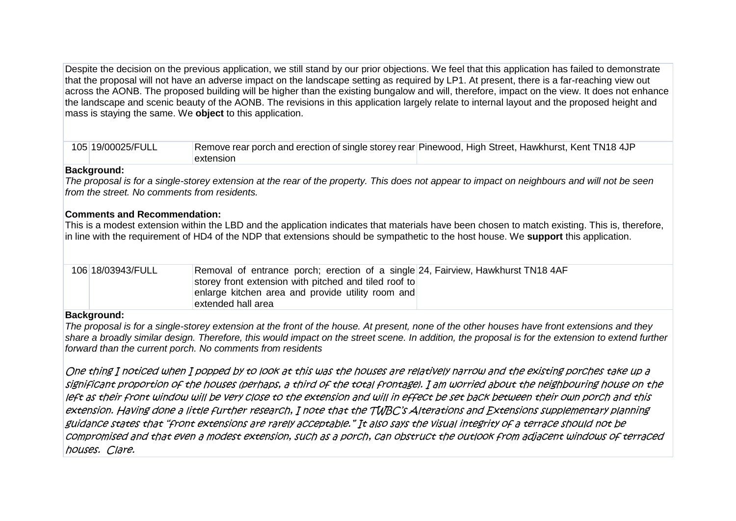Despite the decision on the previous application, we still stand by our prior objections. We feel that this application has failed to demonstrate that the proposal will not have an adverse impact on the landscape setting as required by LP1. At present, there is a far-reaching view out across the AONB. The proposed building will be higher than the existing bungalow and will, therefore, impact on the view. It does not enhance the landscape and scenic beauty of the AONB. The revisions in this application largely relate to internal layout and the proposed height and mass is staying the same. We **object** to this application.

| 105 19/00025/FULL | Remove rear porch and erection of single storey rear Pinewood, High Street, Hawkhurst, Kent TN18 4JP |  |
|-------------------|------------------------------------------------------------------------------------------------------|--|
|                   | extension                                                                                            |  |

#### **Background:**

*The proposal is for a single-storey extension at the rear of the property. This does not appear to impact on neighbours and will not be seen from the street. No comments from residents.*

#### **Comments and Recommendation:**

This is a modest extension within the LBD and the application indicates that materials have been chosen to match existing. This is, therefore, in line with the requirement of HD4 of the NDP that extensions should be sympathetic to the host house. We **support** this application.

| 106 18/03943/FULL | Removal of entrance porch; erection of a single 24, Fairview, Hawkhurst TN184AF |  |
|-------------------|---------------------------------------------------------------------------------|--|
|                   | storey front extension with pitched and tiled roof to                           |  |
|                   | enlarge kitchen area and provide utility room and                               |  |
|                   | extended hall area                                                              |  |

#### **Background:**

*The proposal is for a single-storey extension at the front of the house. At present, none of the other houses have front extensions and they share a broadly similar design. Therefore, this would impact on the street scene. In addition, the proposal is for the extension to extend further forward than the current porch. No comments from residents*

One thing I noticed when I popped by to look at this was the houses are relatively narrow and the existing porches take up a significant proportion of the houses (perhaps, a third of the total frontage). I am worried about the neighbouring house on the left as their front window will be very close to the extension and will in effect be set back between their own porch and this extension. Having done a little further research, I note that the TWBC's Alterations and Extensions supplementary planning guidance states that "front extensions are rarely acceptable." It also says the visual integrity of a terrace should not be compromised and that even a modest extension, such as a porch, can obstruct the outlook from adjacent windows of terraced houses. Clare.